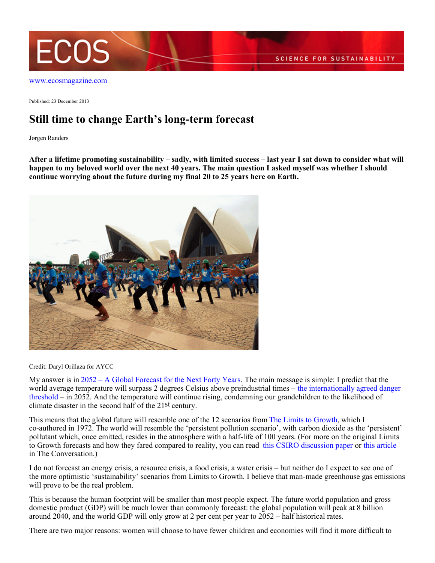

[www.ecosmagazine.com](http://www.ecosmagazine.com)

Published: 23 December 2013

## **Still time to change Earth's long-term forecast**

Jørgen Randers

**After a lifetime promoting sustainability – sadly, with limited success – last year I sat down to consider what will happen to my beloved world over the next 40 years. The main question I asked myself was whether I should continue worrying about the future during my final 20 to 25 years here on Earth.**



Credit: Daryl Orillaza for AYCC

My answer is in [2052 – A Global Forecast for the Next Forty Years](http://www.2052.info/a-5000-word-summary/). The main message is simple: I predict that the world average temperature will surpass 2 degrees Celsius above preindustrial times – [the internationally agreed danger](http://unfccc.int/resource/docs/2009/cop15/eng/l07.pdf) [threshold](http://unfccc.int/resource/docs/2009/cop15/eng/l07.pdf) – in 2052. And the temperature will continue rising, condemning our grandchildren to the likelihood of climate disaster in the second half of the 21st century.

This means that the global future will resemble one of the 12 scenarios from [The Limits to Growth](http://www.clubofrome.org/?p=326), which I co-authored in 1972. The world will resemble the 'persistent pollution scenario', with carbon dioxide as the 'persistent' pollutant which, once emitted, resides in the atmosphere with a half-life of 100 years. (For more on the original Limits to Growth forecasts and how they fared compared to reality, you can read [this CSIRO discussion paper](http://www.csiro.au/Outcomes/Environment/Population-Sustainability/SEEDPaper19.aspx) or [this article](https://theconversation.com/reaching-its-limits-can-the-global-economy-keep-growing-21191) in The Conversation.)

I do not forecast an energy crisis, a resource crisis, a food crisis, a water crisis – but neither do I expect to see one of the more optimistic 'sustainability' scenarios from Limits to Growth. I believe that man-made greenhouse gas emissions will prove to be the real problem.

This is because the human footprint will be smaller than most people expect. The future world population and gross domestic product (GDP) will be much lower than commonly forecast: the global population will peak at 8 billion around 2040, and the world GDP will only grow at 2 per cent per year to 2052 – half historical rates.

There are two major reasons: women will choose to have fewer children and economies will find it more difficult to